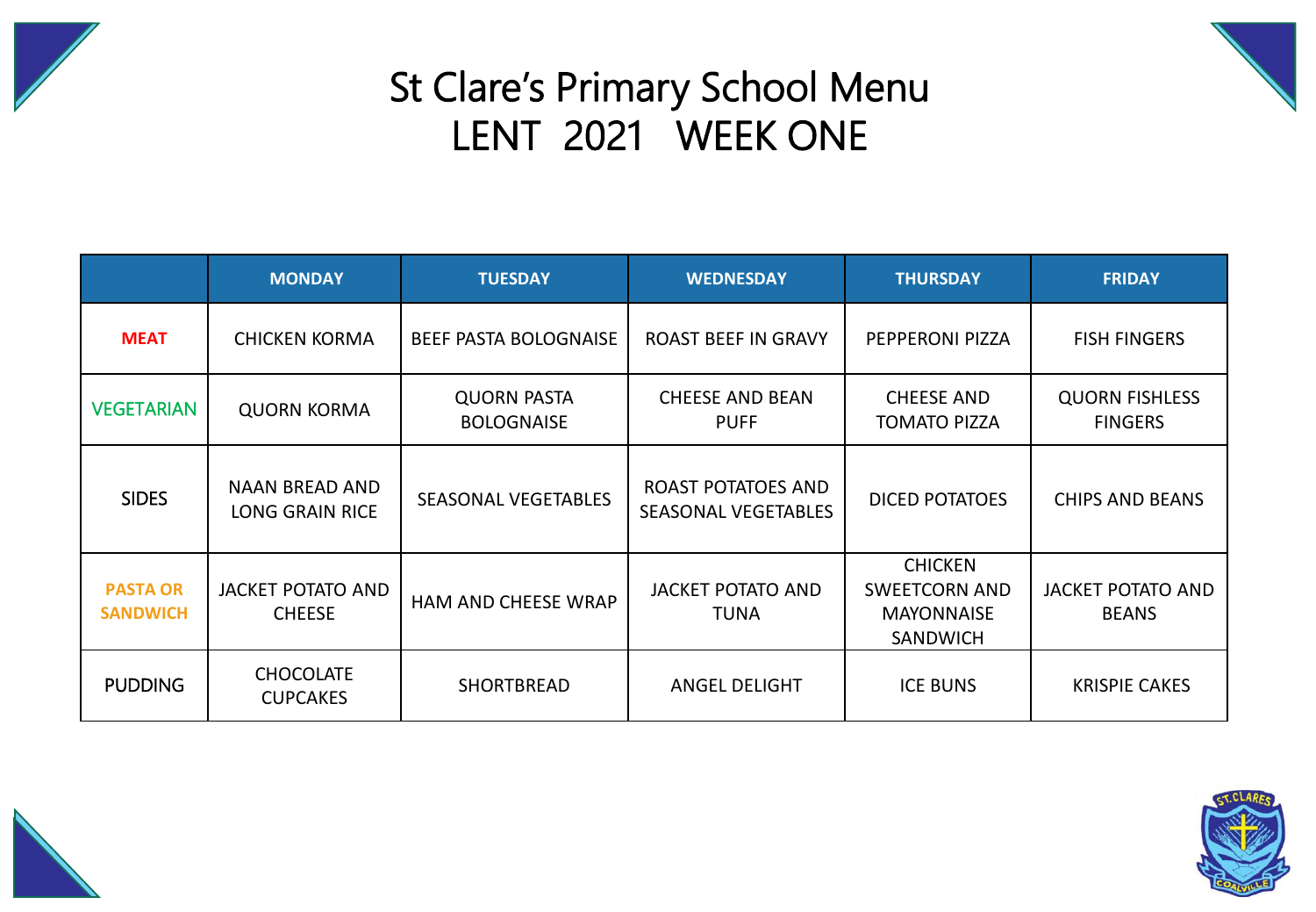



## St Clare's Primary School Menu LENT 2021 WEEK ONE

|                                    | <b>MONDAY</b>                                   | <b>TUESDAY</b>                          | <b>WEDNESDAY</b>                                 | <b>THURSDAY</b>                                                                | <b>FRIDAY</b>                            |
|------------------------------------|-------------------------------------------------|-----------------------------------------|--------------------------------------------------|--------------------------------------------------------------------------------|------------------------------------------|
| <b>MEAT</b>                        | <b>CHICKEN KORMA</b>                            | BEEF PASTA BOLOGNAISE                   | <b>ROAST BEEF IN GRAVY</b>                       | PEPPERONI PIZZA                                                                | <b>FISH FINGERS</b>                      |
| <b>VEGETARIAN</b>                  | <b>QUORN KORMA</b>                              | <b>QUORN PASTA</b><br><b>BOLOGNAISE</b> | <b>CHEESE AND BEAN</b><br><b>PUFF</b>            | <b>CHEESE AND</b><br><b>TOMATO PIZZA</b>                                       | <b>QUORN FISHLESS</b><br><b>FINGERS</b>  |
| <b>SIDES</b>                       | <b>NAAN BREAD AND</b><br><b>LONG GRAIN RICE</b> | <b>SEASONAL VEGETABLES</b>              | ROAST POTATOES AND<br><b>SEASONAL VEGETABLES</b> | <b>DICED POTATOES</b>                                                          | <b>CHIPS AND BEANS</b>                   |
| <b>PASTA OR</b><br><b>SANDWICH</b> | <b>JACKET POTATO AND</b><br><b>CHEESE</b>       | <b>HAM AND CHEESE WRAP</b>              | <b>JACKET POTATO AND</b><br><b>TUNA</b>          | <b>CHICKEN</b><br><b>SWEETCORN AND</b><br><b>MAYONNAISE</b><br><b>SANDWICH</b> | <b>JACKET POTATO AND</b><br><b>BEANS</b> |
| <b>PUDDING</b>                     | <b>CHOCOLATE</b><br><b>CUPCAKES</b>             | SHORTBREAD                              | <b>ANGEL DELIGHT</b>                             | <b>ICE BUNS</b>                                                                | <b>KRISPIE CAKES</b>                     |